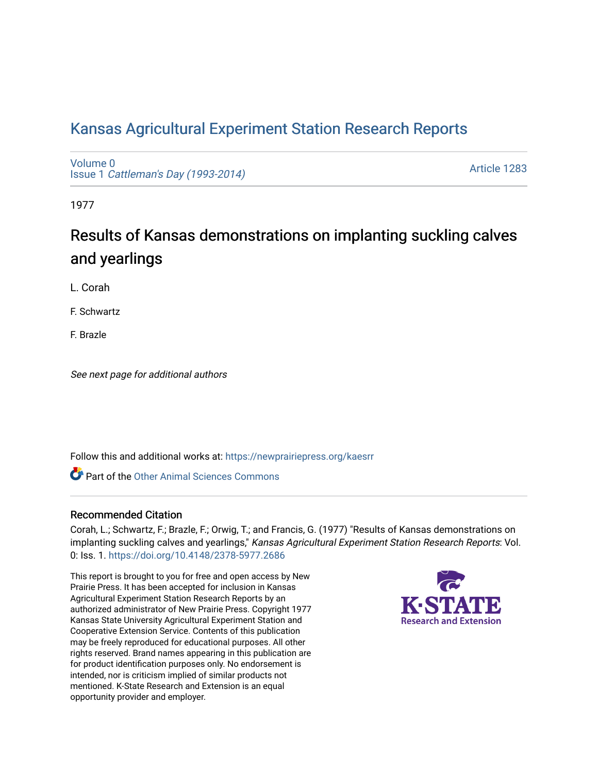# [Kansas Agricultural Experiment Station Research Reports](https://newprairiepress.org/kaesrr)

[Volume 0](https://newprairiepress.org/kaesrr/vol0) Issue 1 [Cattleman's Day \(1993-2014\)](https://newprairiepress.org/kaesrr/vol0/iss1) 

[Article 1283](https://newprairiepress.org/kaesrr/vol0/iss1/1283) 

1977

# Results of Kansas demonstrations on implanting suckling calves and yearlings

L. Corah

F. Schwartz

F. Brazle

See next page for additional authors

Follow this and additional works at: [https://newprairiepress.org/kaesrr](https://newprairiepress.org/kaesrr?utm_source=newprairiepress.org%2Fkaesrr%2Fvol0%2Fiss1%2F1283&utm_medium=PDF&utm_campaign=PDFCoverPages) 

**C** Part of the [Other Animal Sciences Commons](http://network.bepress.com/hgg/discipline/82?utm_source=newprairiepress.org%2Fkaesrr%2Fvol0%2Fiss1%2F1283&utm_medium=PDF&utm_campaign=PDFCoverPages)

#### Recommended Citation

Corah, L.; Schwartz, F.; Brazle, F.; Orwig, T.; and Francis, G. (1977) "Results of Kansas demonstrations on implanting suckling calves and yearlings," Kansas Agricultural Experiment Station Research Reports: Vol. 0: Iss. 1.<https://doi.org/10.4148/2378-5977.2686>

This report is brought to you for free and open access by New Prairie Press. It has been accepted for inclusion in Kansas Agricultural Experiment Station Research Reports by an authorized administrator of New Prairie Press. Copyright 1977 Kansas State University Agricultural Experiment Station and Cooperative Extension Service. Contents of this publication may be freely reproduced for educational purposes. All other rights reserved. Brand names appearing in this publication are for product identification purposes only. No endorsement is intended, nor is criticism implied of similar products not mentioned. K-State Research and Extension is an equal opportunity provider and employer.

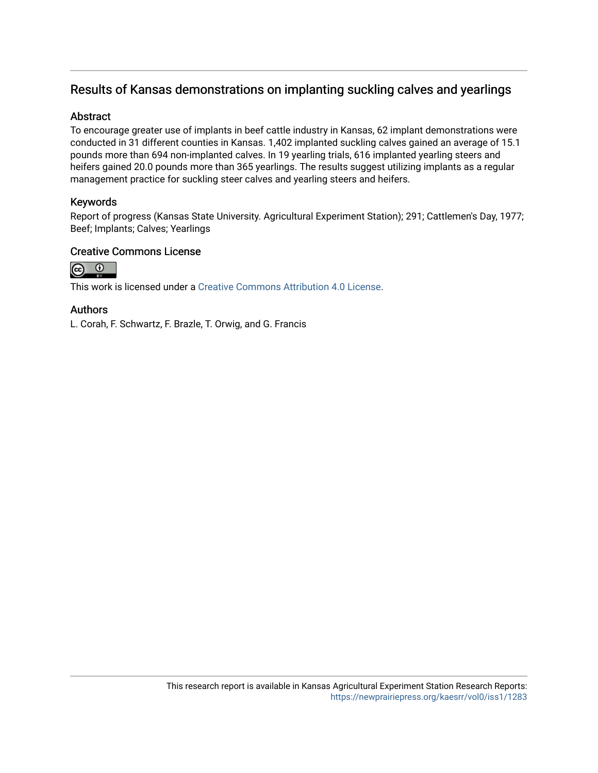## Results of Kansas demonstrations on implanting suckling calves and yearlings

### Abstract

To encourage greater use of implants in beef cattle industry in Kansas, 62 implant demonstrations were conducted in 31 different counties in Kansas. 1,402 implanted suckling calves gained an average of 15.1 pounds more than 694 non-implanted calves. In 19 yearling trials, 616 implanted yearling steers and heifers gained 20.0 pounds more than 365 yearlings. The results suggest utilizing implants as a regular management practice for suckling steer calves and yearling steers and heifers.

## Keywords

Report of progress (Kansas State University. Agricultural Experiment Station); 291; Cattlemen's Day, 1977; Beef; Implants; Calves; Yearlings

#### Creative Commons License



This work is licensed under a [Creative Commons Attribution 4.0 License](https://creativecommons.org/licenses/by/4.0/).

#### Authors

L. Corah, F. Schwartz, F. Brazle, T. Orwig, and G. Francis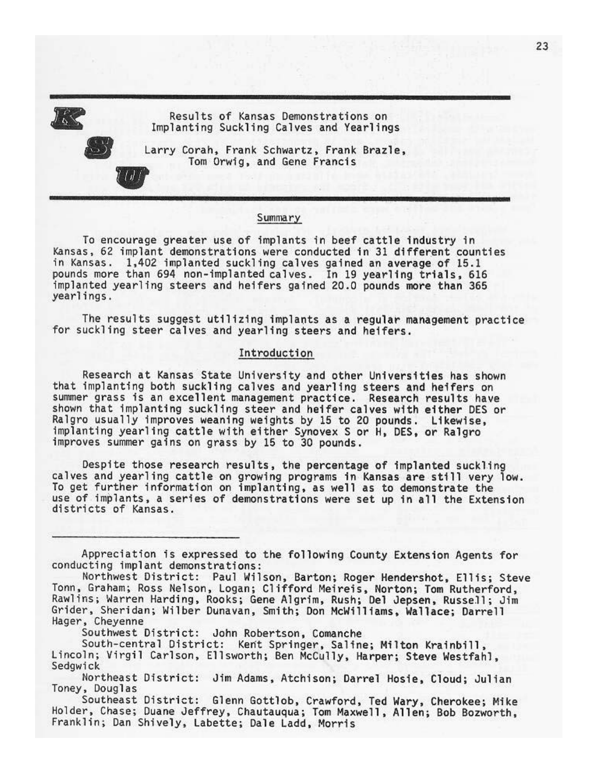Results of Kansas Demonstrations on Implanting Suckling Calves and Yearlings



Larry Corah, Frank Schwartz, Frank Brazle, Tom Orwig, and Gene Francis

#### Summary

To encourage greater use of implants in beef cattle industry in Kansas, 62 implant demonstrations were conducted in 31 different counties in Kansas. 1,402 implanted suckling calves gained an average of 15.1 pounds more than 694 non-implanted calves. In 19 yearling trials, 616 implanted yearling steers and heifers gained 20.0 pounds more than 365 yearlings.

The results suggest utilizing implants as a regular management practice for suckling steer calves and yearling steers and heifers.

#### Introduction

Research at Kansas State University and other Universities has shown that implanting both suckling calves and yearling steers and heifers on summer grass is an excellent management practice. Research results have shown that implanting suckling steer and heifer calves with either DES or Ralgro usually improves weaning weights by 15 to 20 pounds. Likewise, implanting yearling cattle with either Synovex S or H, DES, or Ralgro improves summer gains on grass by 15 to 30 pounds.

Despite those research results, the percentage of implanted suckling calves and yearling cattle on growing programs in Kansas are still very low. To get further information on implanting, as well as to demonstrate the use of implants, a series of demonstrations were set up in all the Extension districts of Kansas.

Appreciation is expressed to the following County Extension Agents for conducting implant demonstrations:

Northwest District: Paul Wilson, Barton; Roger Hendershot, Ellis; Steve Tonn, Graham; Ross Nelson, Logan; Clifford Meireis, Norton; Tom Rutherford, Rawlins; Warren Harding, Rooks; Gene Algrim, Rush; Del Jepsen, Russell; Jim Grider, Sheridan; Wilber Dunavan, Smith; Don McWilliams, Wallace; Darrell Hager, Cheyenne

Southwest District: John Robertson, Comanche

South-central District: Kent Springer, Saline; Milton Krainbill, Lincoln; Virgil Carlson, Ellsworth; Ben McCully, Harper; Steve Westfahl, Sedgwick

Northeast District: Jim Adams, Atchison; Darrel Hosie, Cloud; Julian Toney, Douglas

Southeast District: Glenn Gottlob, Crawford, Ted Wary, Cherokee; Mike Holder, Chase; Duane Jeffrey, Chautauqua; Tom Maxwell, Allen; Bob Bozworth, Franklin; Dan Shively, Labette; Dale Ladd, Morris